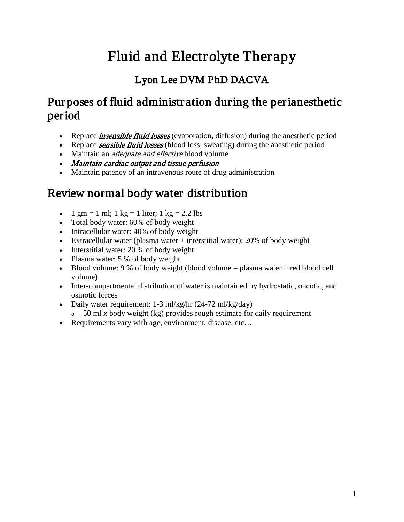# Fluid and Electrolyte Therapy

### Lyon Lee DVM PhD DACVA

## Purposes of fluid administration during the perianesthetic period

- Replace *insensible fluid losses* (evaporation, diffusion) during the anesthetic period
- Replace **sensible fluid losses** (blood loss, sweating) during the anesthetic period
- Maintain an *adequate and effective* blood volume
- Maintain cardiac output and tissue perfusion
- Maintain patency of an intravenous route of drug administration

## Review normal body water distribution

- 1 gm = 1 ml; 1 kg = 1 liter; 1 kg = 2.2 lbs
- Total body water: 60% of body weight
- Intracellular water: 40% of body weight
- Extracellular water (plasma water + interstitial water): 20% of body weight
- Interstitial water: 20 % of body weight
- Plasma water: 5 % of body weight
- Blood volume: 9 % of body weight (blood volume  $=$  plasma water  $+$  red blood cell volume)
- Inter-compartmental distribution of water is maintained by hydrostatic, oncotic, and osmotic forces
- Daily water requirement: 1-3 ml/kg/hr (24-72 ml/kg/day)
- <sup>o</sup> 50 ml x body weight (kg) provides rough estimate for daily requirement
- Requirements vary with age, environment, disease, etc…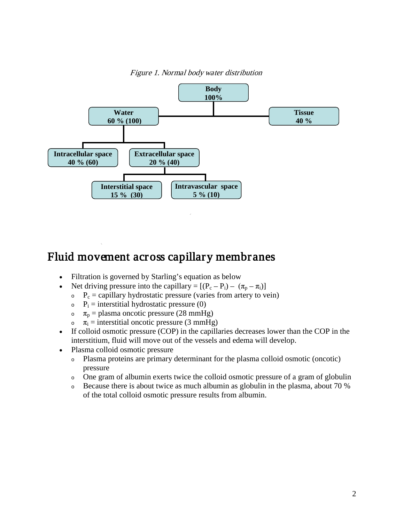

Figure 1. Normal body water distribution

### Fluid movement across capillary membranes

- Filtration is governed by Starling's equation as below
- Net driving pressure into the capillary =  $[(P_c P_i) (\pi_p \pi_i)]$ 
	- $P_c$  = capillary hydrostatic pressure (varies from artery to vein)
	- $P_i$  = interstitial hydrostatic pressure (0)
	- $\sigma$   $\pi$ <sub>p</sub> = plasma oncotic pressure (28 mmHg)
	- $\sigma$   $\pi_i$  = interstitial oncotic pressure (3 mmHg)
- If colloid osmotic pressure (COP) in the capillaries decreases lower than the COP in the interstitium, fluid will move out of the vessels and edema will develop.
- Plasma colloid osmotic pressure
	- <sup>o</sup> Plasma proteins are primary determinant for the plasma colloid osmotic (oncotic) pressure
	- <sup>o</sup> One gram of albumin exerts twice the colloid osmotic pressure of a gram of globulin
	- <sup>o</sup> Because there is about twice as much albumin as globulin in the plasma, about 70 % of the total colloid osmotic pressure results from albumin.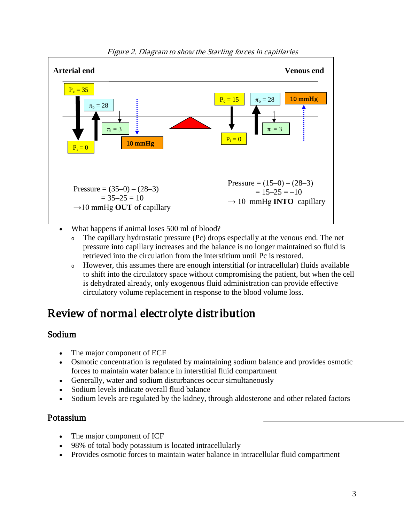

Figure 2. Diagram to show the Starling forces in capillaries

- What happens if animal loses 500 ml of blood?
	- <sup>o</sup> The capillary hydrostatic pressure (Pc) drops especially at the venous end. The net pressure into capillary increases and the balance is no longer maintained so fluid is retrieved into the circulation from the interstitium until Pc is restored.
	- <sup>o</sup> However, this assumes there are enough interstitial (or intracellular) fluids available to shift into the circulatory space without compromising the patient, but when the cell is dehydrated already, only exogenous fluid administration can provide effective circulatory volume replacement in response to the blood volume loss.

## Review of normal electrolyte distribution

#### Sodium

- The major component of ECF
- Osmotic concentration is regulated by maintaining sodium balance and provides osmotic forces to maintain water balance in interstitial fluid compartment
- Generally, water and sodium disturbances occur simultaneously
- Sodium levels indicate overall fluid balance
- Sodium levels are regulated by the kidney, through aldosterone and other related factors

#### Potassium

- The major component of ICF
- 98% of total body potassium is located intracellularly
- Provides osmotic forces to maintain water balance in intracellular fluid compartment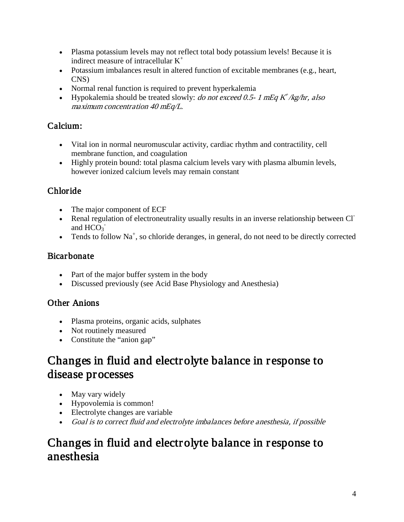- Plasma potassium levels may not reflect total body potassium levels! Because it is indirect measure of intracellular K<sup>+</sup>
- Potassium imbalances result in altered function of excitable membranes (e.g., heart, CNS)
- Normal renal function is required to prevent hyperkalemia
- Hypokalemia should be treated slowly: *do not exceed 0.5- 1 mEq K<sup>+</sup>/kg/hr, also* maximum concentration 40 mEq/L.

#### Calcium:

- Vital ion in normal neuromuscular activity, cardiac rhythm and contractility, cell membrane function, and coagulation
- Highly protein bound: total plasma calcium levels vary with plasma albumin levels, however ionized calcium levels may remain constant

#### Chloride

- The major component of ECF
- Renal regulation of electroneutrality usually results in an inverse relationship between Cl<sup>-</sup> and  $HCO<sub>3</sub>$ <sup>-</sup>
- Tends to follow  $Na^+$ , so chloride deranges, in general, do not need to be directly corrected

#### Bicarbonate

- Part of the major buffer system in the body
- Discussed previously (see Acid Base Physiology and Anesthesia)

#### Other Anions

- Plasma proteins, organic acids, sulphates
- Not routinely measured
- Constitute the "anion gap"

### Changes in fluid and electrolyte balance in response to disease processes

- May vary widely
- Hypovolemia is common!
- Electrolyte changes are variable
- Goal is to correct fluid and electrolyte imbalances before anesthesia, if possible

### Changes in fluid and electrolyte balance in response to anesthesia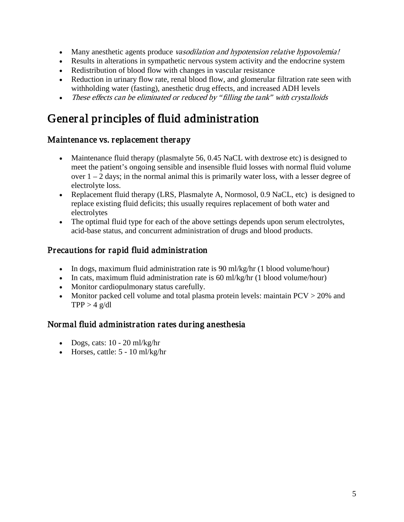- Many anesthetic agents produce *vasodilation and hypotension relative hypovolemia!*
- Results in alterations in sympathetic nervous system activity and the endocrine system
- Redistribution of blood flow with changes in vascular resistance
- Reduction in urinary flow rate, renal blood flow, and glomerular filtration rate seen with withholding water (fasting), anesthetic drug effects, and increased ADH levels
- These effects can be eliminated or reduced by "filling the tank" with crystalloids

## General principles of fluid administration

#### Maintenance vs. replacement therapy

- Maintenance fluid therapy (plasmalyte 56, 0.45 NaCL with dextrose etc) is designed to meet the patient's ongoing sensible and insensible fluid losses with normal fluid volume over  $1 - 2$  days; in the normal animal this is primarily water loss, with a lesser degree of electrolyte loss.
- Replacement fluid therapy (LRS, Plasmalyte A, Normosol, 0.9 NaCL, etc) is designed to replace existing fluid deficits; this usually requires replacement of both water and electrolytes
- The optimal fluid type for each of the above settings depends upon serum electrolytes, acid-base status, and concurrent administration of drugs and blood products.

#### Precautions for rapid fluid administration

- In dogs, maximum fluid administration rate is 90 ml/kg/hr (1 blood volume/hour)
- In cats, maximum fluid administration rate is 60 ml/kg/hr (1 blood volume/hour)
- Monitor cardiopulmonary status carefully.
- Monitor packed cell volume and total plasma protein levels: maintain PCV > 20% and  $TPP > 4$  g/dl

#### Normal fluid administration rates during anesthesia

- Dogs, cats:  $10 20$  ml/kg/hr
- Horses, cattle:  $5 10$  ml/kg/hr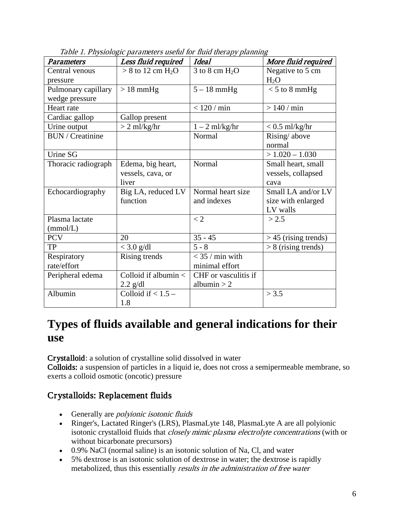| <b>Parameters</b>       | гаэнх т. т нувтогоддо раганность австат тот ната англару раанны<br>Less fluid required | <b>Ideal</b>         | More fluid required    |
|-------------------------|----------------------------------------------------------------------------------------|----------------------|------------------------|
| Central venous          | $> 8$ to 12 cm H <sub>2</sub> O                                                        | $3$ to $8$ cm $H_2O$ | Negative to 5 cm       |
| pressure                |                                                                                        |                      | $H_2O$                 |
| Pulmonary capillary     | $>18$ mmHg                                                                             | $5 - 18$ mmHg        | $< 5$ to 8 mmHg        |
| wedge pressure          |                                                                                        |                      |                        |
| Heart rate              |                                                                                        | $<120$ / $\min$      | >140/min               |
| Cardiac gallop          | Gallop present                                                                         |                      |                        |
| Urine output            | $> 2$ ml/kg/hr                                                                         | $1 - 2$ ml/kg/hr     | $< 0.5$ ml/kg/hr       |
| <b>BUN</b> / Creatinine |                                                                                        | Normal               | Rising/above           |
|                         |                                                                                        |                      | normal                 |
| Urine SG                |                                                                                        |                      | $> 1.020 - 1.030$      |
| Thoracic radiograph     | Edema, big heart,                                                                      | Normal               | Small heart, small     |
|                         | vessels, cava, or                                                                      |                      | vessels, collapsed     |
|                         | liver                                                                                  |                      | cava                   |
| Echocardiography        | Big LA, reduced LV                                                                     | Normal heart size    | Small LA and/or LV     |
|                         | function                                                                               | and indexes          | size with enlarged     |
|                         |                                                                                        |                      | LV walls               |
| Plasma lactate          |                                                                                        | $\lt 2$              | > 2.5                  |
| (mmol/L)                |                                                                                        |                      |                        |
| <b>PCV</b>              | 20                                                                                     | $35 - 45$            | $>$ 45 (rising trends) |
| <b>TP</b>               | $<$ 3.0 g/dl                                                                           | $5 - 8$              | $> 8$ (rising trends)  |
| Respiratory             | Rising trends                                                                          | $<$ 35 / min with    |                        |
| rate/effort             |                                                                                        | minimal effort       |                        |
| Peripheral edema        | Colloid if albumin <                                                                   | CHF or vasculitis if |                        |
|                         | $2.2$ g/dl                                                                             | albumin $> 2$        |                        |
| Albumin                 | Colloid if $< 1.5 -$                                                                   |                      | > 3.5                  |
|                         | 1.8                                                                                    |                      |                        |

Table 1. Physiologic parameters useful for fluid therapy planning

### **Types of fluids available and general indications for their use**

Crystalloid: a solution of crystalline solid dissolved in water

Colloids: a suspension of particles in a liquid ie, does not cross a semipermeable membrane, so exerts a colloid osmotic (oncotic) pressure

#### Crystalloids: Replacement fluids

- Generally are *polyionic isotonic fluids*
- Ringer's, Lactated Ringer's (LRS), PlasmaLyte 148, PlasmaLyte A are all polyionic isotonic crystalloid fluids that *closely mimic plasma electrolyte concentrations* (with or without bicarbonate precursors)
- 0.9% NaCl (normal saline) is an isotonic solution of Na, Cl, and water
- 5% dextrose is an isotonic solution of dextrose in water; the dextrose is rapidly metabolized, thus this essentially results in the administration of free water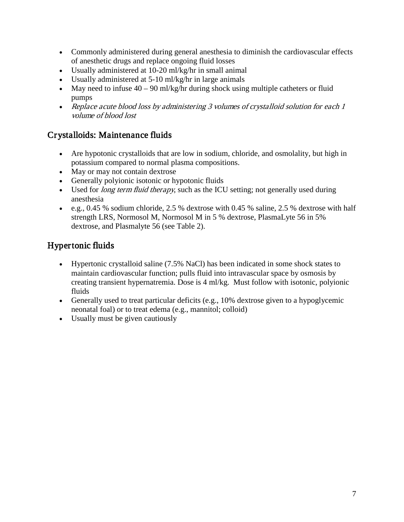- Commonly administered during general anesthesia to diminish the cardiovascular effects of anesthetic drugs and replace ongoing fluid losses
- Usually administered at 10-20 ml/kg/hr in small animal
- Usually administered at 5-10 ml/kg/hr in large animals
- May need to infuse  $40 90$  ml/kg/hr during shock using multiple catheters or fluid pumps
- Replace acute blood loss by administering 3 volumes of crystalloid solution for each 1 volume of blood lost

#### Crystalloids: Maintenance fluids

- Are hypotonic crystalloids that are low in sodium, chloride, and osmolality, but high in potassium compared to normal plasma compositions.
- May or may not contain dextrose
- Generally polyionic isotonic or hypotonic fluids
- Used for *long term fluid therapy*, such as the ICU setting; not generally used during anesthesia
- e.g., 0.45 % sodium chloride, 2.5 % dextrose with 0.45 % saline, 2.5 % dextrose with half strength LRS, Normosol M, Normosol M in 5 % dextrose, PlasmaLyte 56 in 5% dextrose, and Plasmalyte 56 (see Table 2).

### Hypertonic fluids

- Hypertonic crystalloid saline (7.5% NaCl) has been indicated in some shock states to maintain cardiovascular function; pulls fluid into intravascular space by osmosis by creating transient hypernatremia. Dose is 4 ml/kg. Must follow with isotonic, polyionic fluids
- Generally used to treat particular deficits (e.g., 10% dextrose given to a hypoglycemic neonatal foal) or to treat edema (e.g., mannitol; colloid)
- Usually must be given cautiously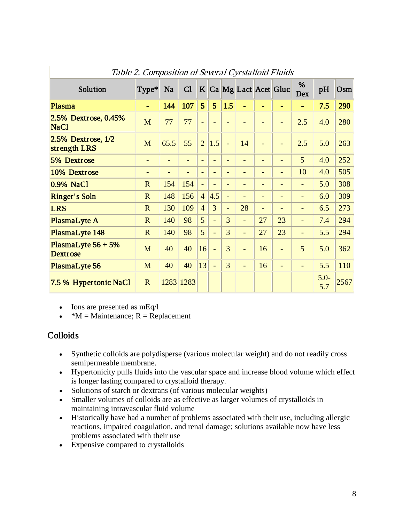| Table 2. Composition of Several Cyrstalloid Fluids |                              |                          |           |                          |                          |                          |                          |                          |                          |                          |                |      |
|----------------------------------------------------|------------------------------|--------------------------|-----------|--------------------------|--------------------------|--------------------------|--------------------------|--------------------------|--------------------------|--------------------------|----------------|------|
| Solution                                           | Type*                        | Na                       | C1        |                          |                          |                          |                          |                          | K Ca Mg Lact Acet Gluc   | %<br>Dex                 | pH             | Osm  |
| Plasma                                             |                              | 144                      | 107       | 5                        | 5                        | 1.5                      |                          |                          |                          |                          | 7.5            | 290  |
| 2.5% Dextrose, 0.45%<br>NaC1                       | M                            | 77                       | 77        | $\overline{\phantom{0}}$ | $\overline{\phantom{0}}$ |                          |                          |                          |                          | 2.5                      | 4.0            | 280  |
| $2.5%$ Dextrose, $1/2$<br>strength LRS             | M                            | 65.5                     | 55        | $\overline{2}$           | 1.5                      | $\equiv$                 | 14                       | $\overline{\phantom{a}}$ |                          | 2.5                      | 5.0            | 263  |
| 5% Dextrose                                        | $\qquad \qquad \blacksquare$ | $\overline{\phantom{a}}$ |           | $\blacksquare$           | $\overline{\phantom{0}}$ | $\overline{\phantom{a}}$ | $\overline{\phantom{a}}$ | $\overline{\phantom{a}}$ | $\qquad \qquad -$        | 5                        | 4.0            | 252  |
| 10% Dextrose                                       | $\qquad \qquad \blacksquare$ | $\qquad \qquad -$        |           | $\blacksquare$           | $\overline{\phantom{0}}$ | $\overline{\phantom{a}}$ | $\overline{\phantom{a}}$ | $\overline{\phantom{a}}$ | $\qquad \qquad -$        | 10                       | 4.0            | 505  |
| 0.9% NaCl                                          | $\mathbf R$                  | 154                      | 154       | $\equiv$                 | $\overline{\phantom{0}}$ | $\blacksquare$           | $\overline{\phantom{0}}$ | $\overline{\phantom{a}}$ | $\overline{\phantom{0}}$ | -                        | 5.0            | 308  |
| <b>Ringer's Soln</b>                               | $\mathbf R$                  | 148                      | 156       | $\overline{4}$           | 4.5                      | $\overline{\phantom{0}}$ |                          | $\overline{\phantom{a}}$ | $\overline{\phantom{0}}$ | $\overline{\phantom{0}}$ | 6.0            | 309  |
| <b>LRS</b>                                         | $\mathbf R$                  | 130                      | 109       | $\overline{4}$           | 3                        | $\blacksquare$           | 28                       | $\overline{\phantom{a}}$ |                          | $\overline{\phantom{0}}$ | 6.5            | 273  |
| PlasmaLyte A                                       | $\overline{R}$               | 140                      | 98        | 5                        | L.                       | 3                        | $\blacksquare$           | 27                       | 23                       | $\overline{\phantom{0}}$ | 7.4            | 294  |
| PlasmaLyte 148                                     | $\mathbf R$                  | 140                      | 98        | 5                        | L,                       | 3                        | $\overline{\phantom{0}}$ | 27                       | 23                       | ÷,                       | 5.5            | 294  |
| PlasmaLyte $56 + 5%$<br><b>Dextrose</b>            | M                            | 40                       | 40        | 16                       | L,                       | 3                        | $\overline{\phantom{a}}$ | 16                       | $\equiv$                 | 5                        | 5.0            | 362  |
| PlasmaLyte 56                                      | M                            | 40                       | 40        | 13                       | L,                       | 3                        | $\overline{\phantom{0}}$ | 16                       |                          |                          | 5.5            | 110  |
| 7.5 % Hypertonic NaCl                              | $\mathbf R$                  |                          | 1283 1283 |                          |                          |                          |                          |                          |                          |                          | $5.0 -$<br>5.7 | 2567 |

• Ions are presented as mEq/l

•  $*M =$ Maintenance; R = Replacement

#### Colloids

- Synthetic colloids are polydisperse (various molecular weight) and do not readily cross semipermeable membrane.
- Hypertonicity pulls fluids into the vascular space and increase blood volume which effect is longer lasting compared to crystalloid therapy.
- Solutions of starch or dextrans (of various molecular weights)
- Smaller volumes of colloids are as effective as larger volumes of crystalloids in maintaining intravascular fluid volume
- Historically have had a number of problems associated with their use, including allergic reactions, impaired coagulation, and renal damage; solutions available now have less problems associated with their use
- Expensive compared to crystalloids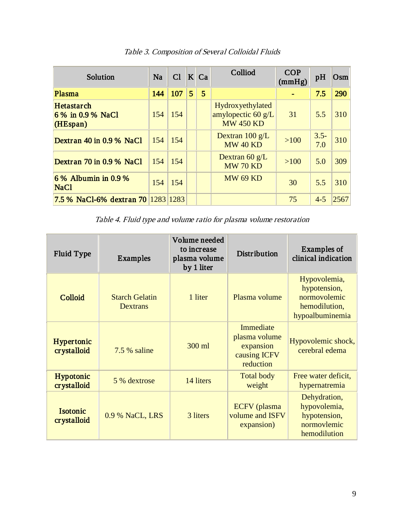| Solution                                  | <b>Na</b> | Cl  |   | $K$ Ca | Colliod                                                                      | <b>COP</b><br>(mmHg) | pH             | Osm  |
|-------------------------------------------|-----------|-----|---|--------|------------------------------------------------------------------------------|----------------------|----------------|------|
| Plasma                                    | 144       | 107 | 5 | 5      |                                                                              |                      | 7.5            | 290  |
| Hetastarch<br>6% in 0.9% NaCl<br>(HEspan) | 154       | 154 |   |        | <b>Hydrox</b> yethylated<br>amylopectic $60 \text{ g/L}$<br><b>MW 450 KD</b> | 31                   | 5.5            | 310  |
| Dextran 40 in 0.9 % NaCl                  | 154       | 154 |   |        | Dextran $100 \text{ g/L}$<br><b>MW 40 KD</b>                                 | $>100$               | $3.5 -$<br>7.0 | 310  |
| Dextran 70 in 0.9 % NaCl                  | 154       | 154 |   |        | Dextran $60 g/L$<br><b>MW 70 KD</b>                                          | $>100$               | 5.0            | 309  |
| $6\%$ Albumin in 0.9 %<br><b>NaCl</b>     | 154       | 154 |   |        | <b>MW 69 KD</b>                                                              | 30                   | 5.5            | 310  |
| 7.5 % NaCl-6% dextran 70 1283 1283        |           |     |   |        |                                                                              | 75                   | $4 - 5$        | 2567 |

Table 3. Composition of Several Colloidal Fluids

Table 4. Fluid type and volume ratio for plasma volume restoration

| <b>Fluid Type</b>         | Examples                          | Volume needed<br>to increase<br>plasma volume<br>by 1 liter | Distribution                                                         | Examples of<br>clinical indication                                               |
|---------------------------|-----------------------------------|-------------------------------------------------------------|----------------------------------------------------------------------|----------------------------------------------------------------------------------|
| <b>Colloid</b>            | <b>Starch Gelatin</b><br>Dextrans | 1 liter                                                     | Plasma volume                                                        | Hypovolemia,<br>hypotension,<br>normovolemic<br>hemodilution,<br>hypoalbuminemia |
| Hypertonic<br>crystalloid | 7.5 % saline                      | 300 ml                                                      | Immediate<br>plasma volume<br>expansion<br>causing ICFV<br>reduction | Hypovolemic shock,<br>cerebral edema                                             |
| Hypotonic<br>crystalloid  | 5 % dextrose                      | 14 liters                                                   | <b>Total body</b><br>weight                                          | Free water deficit,<br>hypernatremia                                             |
| Isotonic<br>crystalloid   | 0.9 % NaCL, LRS                   | 3 liters                                                    | ECFV (plasma)<br>volume and ISFV<br>expansion)                       | Dehydration,<br>hypovolemia,<br>hypotension,<br>normovlemic<br>hemodilution      |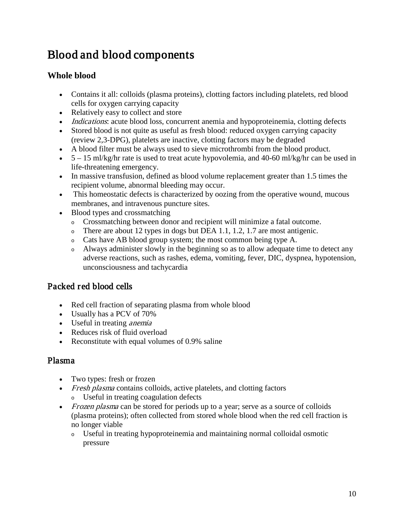## Blood and blood components

#### **Whole blood**

- Contains it all: colloids (plasma proteins), clotting factors including platelets, red blood cells for oxygen carrying capacity
- Relatively easy to collect and store
- *Indications*: acute blood loss, concurrent anemia and hypoproteinemia, clotting defects
- Stored blood is not quite as useful as fresh blood: reduced oxygen carrying capacity (review 2,3-DPG), platelets are inactive, clotting factors may be degraded
- A blood filter must be always used to sieve microthrombi from the blood product.
- $5 15$  ml/kg/hr rate is used to treat acute hypovolemia, and 40-60 ml/kg/hr can be used in life-threatening emergency.
- In massive transfusion, defined as blood volume replacement greater than 1.5 times the recipient volume, abnormal bleeding may occur.
- This homeostatic defects is characterized by oozing from the operative wound, mucous membranes, and intravenous puncture sites.
- Blood types and crossmatching
	- <sup>o</sup> Crossmatching between donor and recipient will minimize a fatal outcome.
	- $\circ$  There are about 12 types in dogs but DEA 1.1, 1.2, 1.7 are most antigenic.
	- <sup>o</sup> Cats have AB blood group system; the most common being type A.
	- <sup>o</sup> Always administer slowly in the beginning so as to allow adequate time to detect any adverse reactions, such as rashes, edema, vomiting, fever, DIC, dyspnea, hypotension, unconsciousness and tachycardia

#### Packed red blood cells

- Red cell fraction of separating plasma from whole blood
- Usually has a PCV of 70%
- Useful in treating *anemia*
- Reduces risk of fluid overload
- Reconstitute with equal volumes of 0.9% saline

#### Plasma

- Two types: fresh or frozen
- Fresh plasma contains colloids, active platelets, and clotting factors
	- <sup>o</sup> Useful in treating coagulation defects
- Frozen plasma can be stored for periods up to a year; serve as a source of colloids (plasma proteins); often collected from stored whole blood when the red cell fraction is no longer viable
	- <sup>o</sup> Useful in treating hypoproteinemia and maintaining normal colloidal osmotic pressure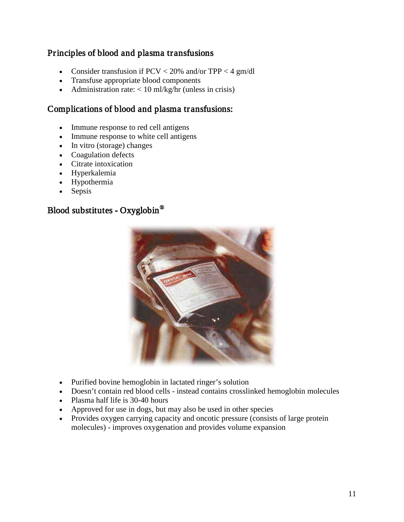#### Principles of blood and plasma transfusions

- Consider transfusion if  $PCV < 20\%$  and/or TPP  $< 4 \text{ gm/dl}$
- Transfuse appropriate blood components
- Administration rate:  $< 10$  ml/kg/hr (unless in crisis)

#### Complications of blood and plasma transfusions:

- Immune response to red cell antigens
- Immune response to white cell antigens
- In vitro (storage) changes
- Coagulation defects
- Citrate intoxication
- Hyperkalemia
- Hypothermia
- Sepsis

#### Blood substitutes - [Oxyglobin](http://www.biopure.com/animal_health/home_animalhealth.htm)®



- Purified bovine hemoglobin in lactated ringer's solution
- Doesn't contain red blood cells instead contains crosslinked hemoglobin molecules
- Plasma half life is 30-40 hours
- Approved for use in dogs, but may also be used in other species
- Provides oxygen carrying capacity and oncotic pressure (consists of large protein molecules) - improves oxygenation and provides volume expansion